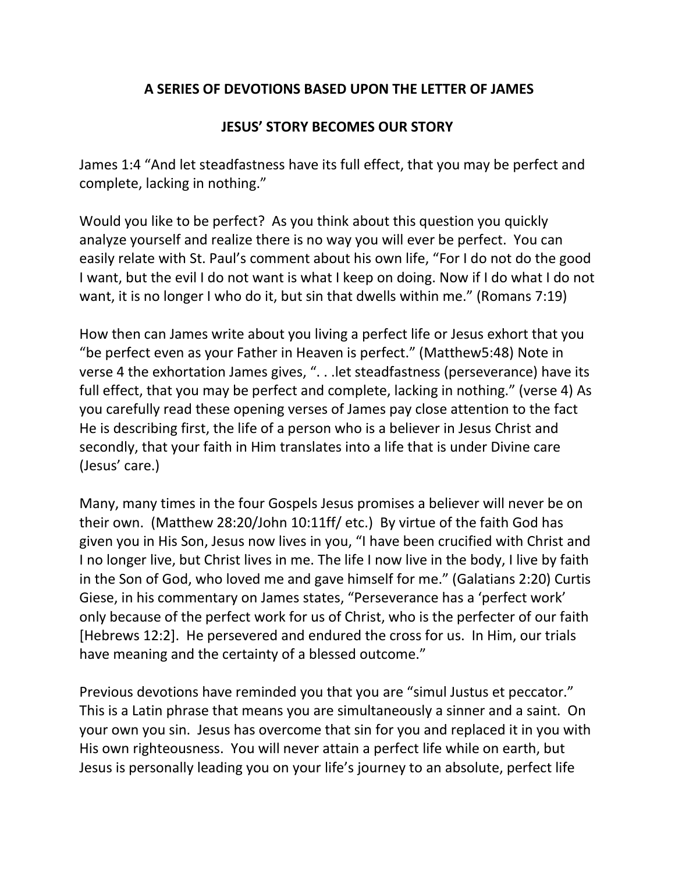## **A SERIES OF DEVOTIONS BASED UPON THE LETTER OF JAMES**

## **JESUS' STORY BECOMES OUR STORY**

James 1:4 "And let steadfastness have its full effect, that you may be perfect and complete, lacking in nothing."

Would you like to be perfect? As you think about this question you quickly analyze yourself and realize there is no way you will ever be perfect. You can easily relate with St. Paul's comment about his own life, "For I do not do the good I want, but the evil I do not want is what I keep on doing. Now if I do what I do not want, it is no longer I who do it, but sin that dwells within me." (Romans 7:19)

How then can James write about you living a perfect life or Jesus exhort that you "be perfect even as your Father in Heaven is perfect." (Matthew5:48) Note in verse 4 the exhortation James gives, ". . .let steadfastness (perseverance) have its full effect, that you may be perfect and complete, lacking in nothing." (verse 4) As you carefully read these opening verses of James pay close attention to the fact He is describing first, the life of a person who is a believer in Jesus Christ and secondly, that your faith in Him translates into a life that is under Divine care (Jesus' care.)

Many, many times in the four Gospels Jesus promises a believer will never be on their own. (Matthew 28:20/John 10:11ff/ etc.) By virtue of the faith God has given you in His Son, Jesus now lives in you, "I have been crucified with Christ and I no longer live, but Christ lives in me. The life I now live in the body, I live by faith in the Son of God, who loved me and gave himself for me." (Galatians 2:20) Curtis Giese, in his commentary on James states, "Perseverance has a 'perfect work' only because of the perfect work for us of Christ, who is the perfecter of our faith [Hebrews 12:2]. He persevered and endured the cross for us. In Him, our trials have meaning and the certainty of a blessed outcome."

Previous devotions have reminded you that you are "simul Justus et peccator." This is a Latin phrase that means you are simultaneously a sinner and a saint. On your own you sin. Jesus has overcome that sin for you and replaced it in you with His own righteousness. You will never attain a perfect life while on earth, but Jesus is personally leading you on your life's journey to an absolute, perfect life